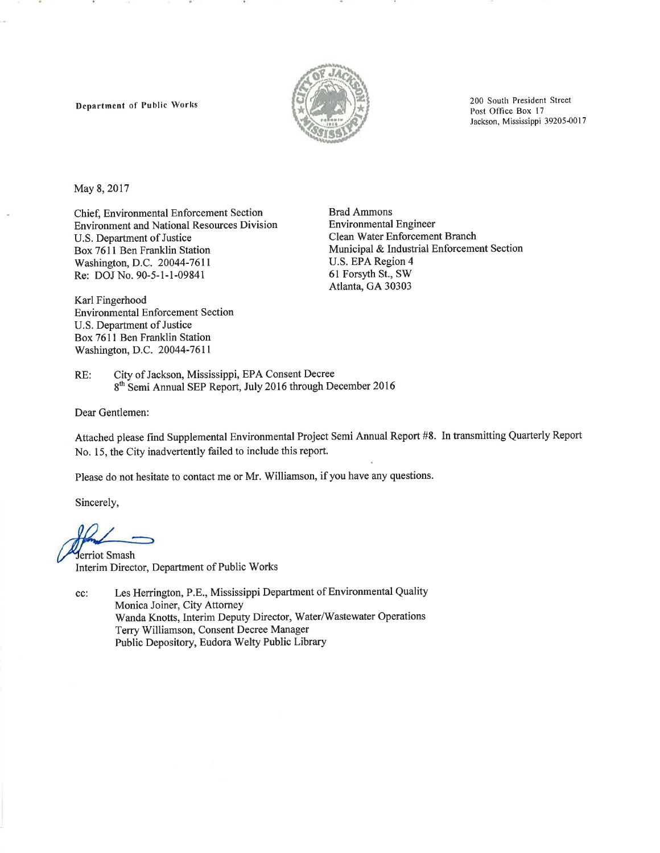Department of Public Works



200 South President Street Post Office Box 17 Jackson, Mississippi 39205-0017

May 8, 2017

Chief, Environmental Enforcement Section **Environment and National Resources Division** U.S. Department of Justice Box 7611 Ben Franklin Station Washington, D.C. 20044-7611 Re: DOJ No. 90-5-1-1-09841

Karl Fingerhood **Environmental Enforcement Section** U.S. Department of Justice Box 7611 Ben Franklin Station Washington, D.C. 20044-7611

**Brad Ammons Environmental Engineer** Clean Water Enforcement Branch Municipal & Industrial Enforcement Section U.S. EPA Region 4 61 Forsyth St., SW Atlanta, GA 30303

City of Jackson, Mississippi, EPA Consent Decree RE: 8<sup>th</sup> Semi Annual SEP Report, July 2016 through December 2016

Dear Gentlemen:

Attached please find Supplemental Environmental Project Semi Annual Report #8. In transmitting Quarterly Report No. 15, the City inadvertently failed to include this report.

Please do not hesitate to contact me or Mr. Williamson, if you have any questions.

Sincerely,

Jerriot Smash Interim Director, Department of Public Works

Les Herrington, P.E., Mississippi Department of Environmental Quality cc: Monica Joiner, City Attorney Wanda Knotts, Interim Deputy Director, Water/Wastewater Operations Terry Williamson, Consent Decree Manager Public Depository, Eudora Welty Public Library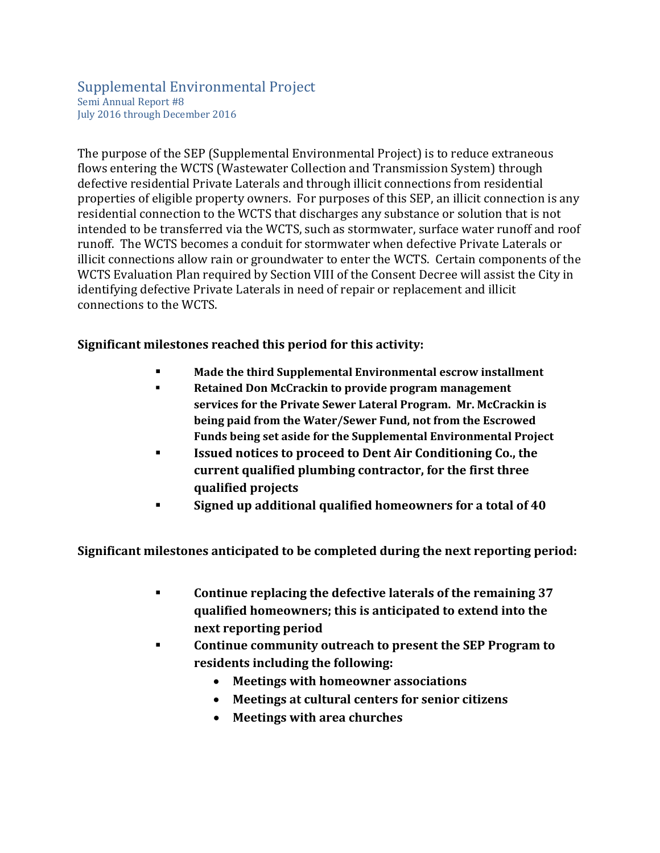### Supplemental Environmental Project Semi Annual Report #8 July 2016 through December 2016

The purpose of the SEP (Supplemental Environmental Project) is to reduce extraneous flows entering the WCTS (Wastewater Collection and Transmission System) through defective residential Private Laterals and through illicit connections from residential properties of eligible property owners. For purposes of this SEP, an illicit connection is any residential connection to the WCTS that discharges any substance or solution that is not intended to be transferred via the WCTS, such as stormwater, surface water runoff and roof runoff. The WCTS becomes a conduit for stormwater when defective Private Laterals or illicit connections allow rain or groundwater to enter the WCTS. Certain components of the WCTS Evaluation Plan required by Section VIII of the Consent Decree will assist the City in identifying defective Private Laterals in need of repair or replacement and illicit connections to the WCTS.

**Significant milestones reached this period for this activity:**

- **Made the third Supplemental Environmental escrow installment**
- **Retained Don McCrackin to provide program management services for the Private Sewer Lateral Program. Mr. McCrackin is being paid from the Water/Sewer Fund, not from the Escrowed Funds being set aside for the Supplemental Environmental Project**
- **Issued notices to proceed to Dent Air Conditioning Co., the current qualified plumbing contractor, for the first three qualified projects**
- **Signed up additional qualified homeowners for a total of 40**

**Significant milestones anticipated to be completed during the next reporting period:**

- **Continue replacing the defective laterals of the remaining 37 qualified homeowners; this is anticipated to extend into the next reporting period**
- **Continue community outreach to present the SEP Program to residents including the following:** 
	- **Meetings with homeowner associations**
	- **Meetings at cultural centers for senior citizens**
	- **Meetings with area churches**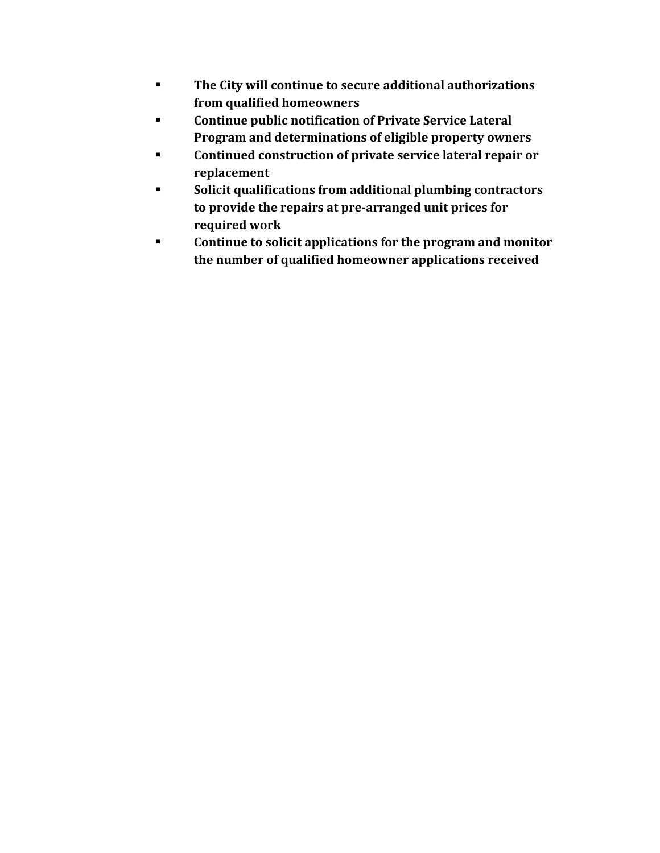- **The City will continue to secure additional authorizations from qualified homeowners**
- **Continue public notification of Private Service Lateral Program and determinations of eligible property owners**
- **Continued construction of private service lateral repair or replacement**
- **Solicit qualifications from additional plumbing contractors to provide the repairs at pre‐arranged unit prices for required work**
- **Continue to solicit applications for the program and monitor the number of qualified homeowner applications received**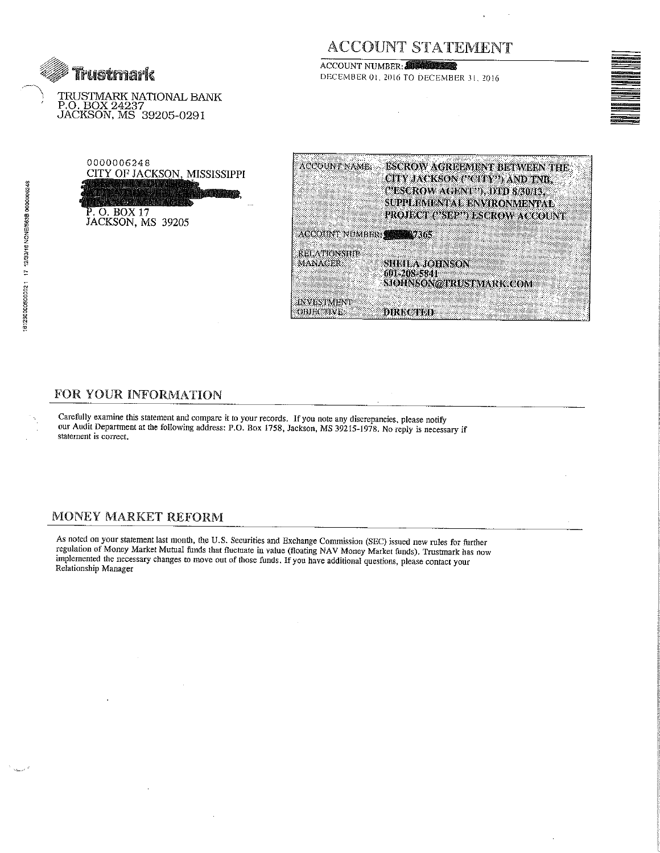

TRUSTMARK NATIONAL BANK P.O. BOX 24237<br>JACKSON, MS 39205-0291

# **ACCOUNT STATEMENT**

ACCOUNT NUMBER: DECEMBER 01, 2016 TO DECEMBER 31, 2016



0000006248 CITY OF JACKSON, MISSISSIPPI P. O. BOX 17<br>JACKSON, MS 39205

| ACCOUNT NAME:             | ESCROW AGREEMENT BETWEEN THE   |
|---------------------------|--------------------------------|
|                           | CITY JACKSON ("CITY") AND TAB  |
|                           | CESCROW AGENT 3, DTD 8/30/13.  |
|                           | SUPPLEMENTAL ENVIRONMENTAL     |
|                           | PROJECT ("SEP") ESCROW ACCOUNT |
| ACCOUNT NUMBER 1988 17365 |                                |
| RELATIONSHIP              |                                |
| <b>MANAGER</b>            | SHEILA JOHNSON                 |
|                           | 601-208-5841                   |
|                           | SJOHNSON@TRUSTMARK.COM         |
| <b>INVESTMENT</b>         |                                |
| OBJECTIVE                 | DINEGIYOD                      |

# FOR YOUR INFORMATION

Carefully examine this statement and compare it to your records. If you note any discrepancies, please notify our Audit Department at the following address: P.O. Box 1758, Jackson, MS 39215-1978. No reply is necessary if statement is correct.

### MONEY MARKET REFORM

As noted on your statement last month, the U.S. Securities and Exchange Commission (SEC) issued new rules for further regulation of Money Market Mutual funds that fluctuate in value (floating NAV Money Market funds). Trustmark has now<br>implemented the necessary changes to move out of those funds. If you have additional questions, please co Relationship Manager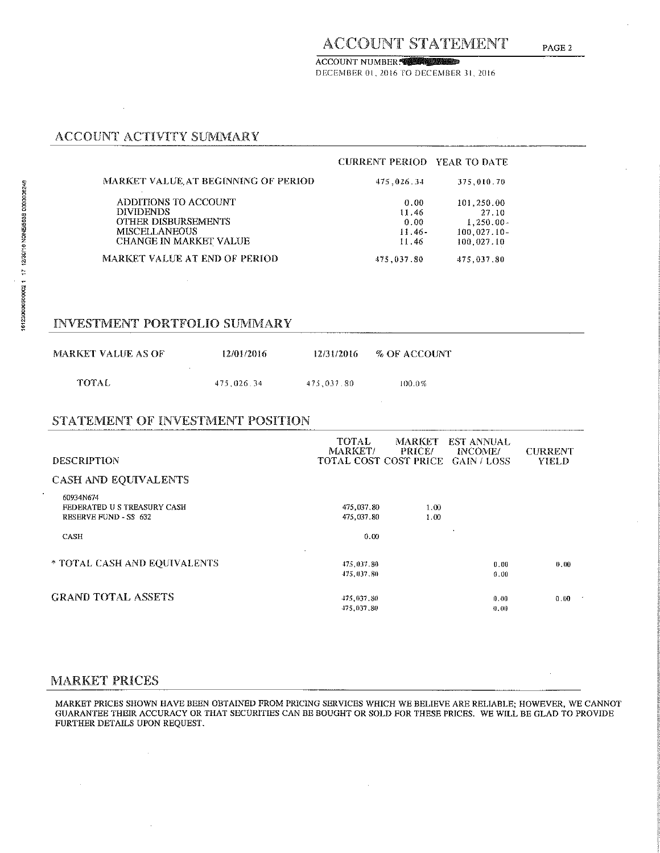ACCOUNT NUMBER TO BE A TABLE DECEMBER 01, 2016 TO DECEMBER 31, 2016

# ACCOUNT ACTIVITY SUMMARY

 $\bar{\alpha}$ 

|                                     | <b>CURRENT PERIOD YEAR TO DATE</b> |                |
|-------------------------------------|------------------------------------|----------------|
| MARKET VALUE AT BEGINNING OF PERIOD | 475,026.34                         | 375,010.70     |
| ADDITIONS TO ACCOUNT                | 0.00                               | 101,250.00     |
| <b>DIVIDENDS</b>                    | 11.46                              | 27.10          |
| <b>OTHER DISBURSEMENTS</b>          | 0.00                               | $1,250.00 -$   |
| <b>MISCELLANEOUS</b>                | $11.46-$                           | $100.027.10 -$ |
| CHANGE IN MARKET VALUE              | 11.46                              | 100.027.10     |
| MARKET VALUE AT END OF PERIOD       | 475,037.80                         | 475,037.80     |

#### **INVESTMENT PORTFOLIO SUMMARY**

| MARKET VALUE AS OF | 12/01/2016 | 12/31/2016 | % OF ACCOUNT |
|--------------------|------------|------------|--------------|
| TOTAL              | 475.026.34 | 475.037.80 | 100.0%       |

#### STATEMENT OF INVESTMENT POSITION

| <b>DESCRIPTION</b>                                                      | <b>TOTAL</b><br>MARKET/    | <b>PRICE/</b> | MARKET EST ANNUAL<br>INCOME/<br><b>TOTAL COST COST PRICE GAIN / LOSS</b> | <b>CURRENT</b><br><b>YIELD</b> |
|-------------------------------------------------------------------------|----------------------------|---------------|--------------------------------------------------------------------------|--------------------------------|
| <b>CASH AND EQUIVALENTS</b>                                             |                            |               |                                                                          |                                |
| 60934N674<br>FEDERATED US TREASURY CASH<br><b>RESERVE FUND - SS 632</b> | 475,037.80<br>475,037.80   | 1.00<br>1.00  |                                                                          |                                |
| <b>CASH</b>                                                             | 0.00                       |               |                                                                          |                                |
| * TOTAL CASH AND EOUIVALENTS                                            | 475,037.80<br>475,037,80   |               | 0.00<br>0.00                                                             | 0.00                           |
| <b>GRAND TOTAL ASSETS</b>                                               | 475, 037, 80<br>475,037,80 |               | 0.00<br>0.00                                                             | 0.00                           |

#### **MARKET PRICES**

MARKET PRICES SHOWN HAVE BEEN OBTAINED FROM PRICING SERVICES WHICH WE BELIEVE ARE RELIABLE; HOWEVER, WE CANNOT<br>GUARANTEE THEIR ACCURACY OR THAT SECURITIES CAN BE BOUGHT OR SOLD FOR THESE PRICES. WE WILL BE GLAD TO PROVIDE FURTHER DETAILS UPON REQUEST.

 $\bar{z}$ 

PAGE<sub>2</sub>

 $\bar{z}$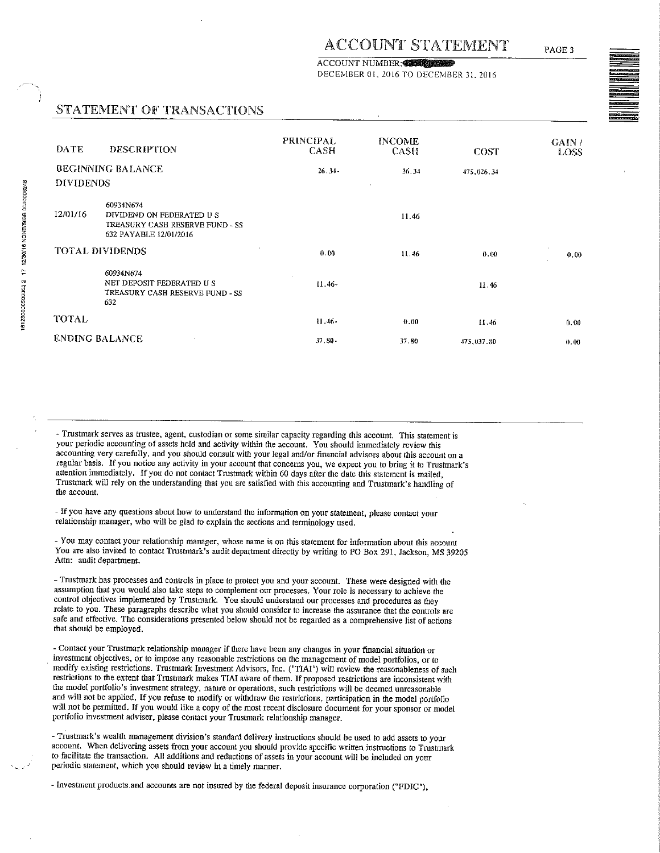#### **ACCOUNT NUMBER:**

DECEMBER 01, 2016 TO DECEMBER 31, 2016

# STATEMENT OF TRANSACTIONS

| DATE                  | <b>DESCRIPTION</b>                                                                                 | <b>PRINCIPAL</b><br><b>CASH</b> | <b>INCOME</b><br><b>CASH</b> | <b>COST</b> | GAIN/<br>LOSS |
|-----------------------|----------------------------------------------------------------------------------------------------|---------------------------------|------------------------------|-------------|---------------|
| <b>DIVIDENDS</b>      | <b>BEGINNING BALANCE</b>                                                                           | $26.34 -$                       | 26.34                        | 475,026.34  |               |
| 12/01/16              | 60934N674<br>DIVIDEND ON FEDERATED US<br>TREASURY CASH RESERVE FUND - SS<br>632 PAYABLE 12/01/2016 |                                 | 11.46                        |             |               |
|                       | <b>TOTAL DIVIDENDS</b>                                                                             | 0.00                            | 11.46                        | 0.00        | ٠.<br>0.00    |
|                       | 60934N674<br>NET DEPOSIT FEDERATED US<br>TREASURY CASH RESERVE FUND - SS<br>632                    | $\mathbf{r}$<br>$11.46-$        |                              | 11.46       |               |
| <b>TOTAL</b>          |                                                                                                    | $11.46 -$                       | 0.00                         | 11.46       | 0.00          |
| <b>ENDING BALANCE</b> |                                                                                                    | $37, 80 -$                      | 37 80                        | 475,037.80  | 0.00          |

- Trustmark serves as trustee, agent, custodian or some similar capacity regarding this account. This statement is your periodic accounting of assets held and activity within the account. You should immediately review this accounting very carefully, and you should consult with your legal and/or financial advisors about this account on a regular basis. If you notice any activity in your account that concerns you, we expect you to bring it to Trustmark's attention immediately. If you do not contact Trustmark within 60 days after the date this statement is mailed, Trustmark will rely on the understanding that you are satisfied with this accounting and Trustmark's handling of the account.

- If you have any questions about how to understand the information on your statement, please contact your relationship manager, who will be glad to explain the sections and terminology used.

- You may contact your relationship manager, whose name is on this statement for information about this account You are also invited to contact Trustmark's audit department directly by writing to PO Box 291, Jackson, MS 39205 Attn: audit department.

- Trustmark has processes and controls in place to protect you and your account. These were designed with the assumption that you would also take steps to complement our processes. Your role is necessary to achieve the control objectives implemented by Trustmark. You should understand our processes and procedures as they relate to you. These paragraphs describe what you should consider to increase the assurance that the controls are safe and effective. The considerations presented below should not be regarded as a comprehensive list of actions that should be employed.

- Contact your Trustmark relationship manager if there have been any changes in your financial situation or investment objectives, or to impose any reasonable restrictions on the management of model portfolios, or to modify existing restrictions. Trustmark Investment Advisors, Inc. ("TIAI") will review the reasonableness of such restrictions to the extent that Trustmark makes TIAI aware of them. If proposed restrictions are inconsistent with the model portfolio's investment strategy, nature or operations, such restrictions will be deemed unreasonable and will not be applied. If you refuse to modify or withdraw the restrictions, participation in the model portfolio will not be permitted. If you would like a copy of the most recent disclosure document for your sponsor or model portfolio investment adviser, please contact your Trustmark relationship manager,

- Trustmark's wealth management division's standard delivery instructions should be used to add assets to your account. When delivering assets from your account you should provide specific written instructions to Trustmark to facilitate the transaction. All additions and reductions of assets in your account will be included on your periodic statement, which you should review in a timely manner.

- Investment products and accounts are not insured by the federal deposit insurance corporation ("FDIC").